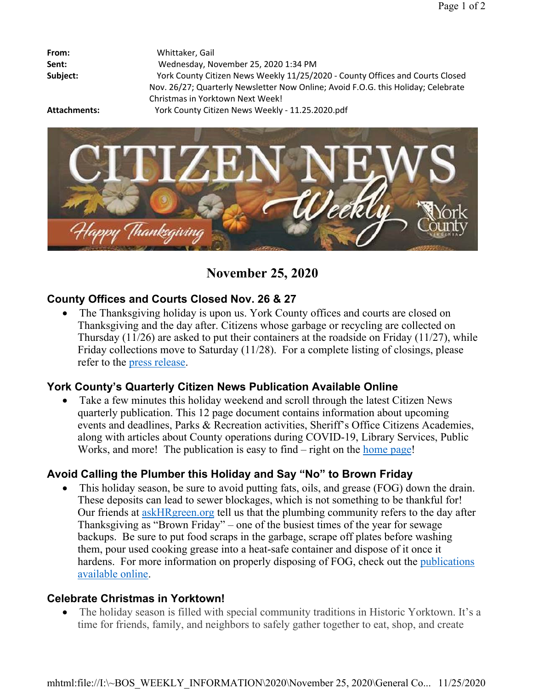| Whittaker, Gail                                                                   |
|-----------------------------------------------------------------------------------|
| Wednesday, November 25, 2020 1:34 PM                                              |
| York County Citizen News Weekly 11/25/2020 - County Offices and Courts Closed     |
| Nov. 26/27; Quarterly Newsletter Now Online; Avoid F.O.G. this Holiday; Celebrate |
| Christmas in Yorktown Next Week!                                                  |
| York County Citizen News Weekly - 11.25.2020.pdf                                  |
|                                                                                   |



**November 25, 2020**

# **County Offices and Courts Closed Nov. 26 & 27**

 The Thanksgiving holiday is upon us. York County offices and courts are closed on Thanksgiving and the day after. Citizens whose garbage or recycling are collected on Thursday (11/26) are asked to put their containers at the roadside on Friday (11/27), while Friday collections move to Saturday (11/28). For a complete listing of closings, please refer to the press release.

## **York County's Quarterly Citizen News Publication Available Online**

 Take a few minutes this holiday weekend and scroll through the latest Citizen News quarterly publication. This 12 page document contains information about upcoming events and deadlines, Parks & Recreation activities, Sheriff's Office Citizens Academies, along with articles about County operations during COVID-19, Library Services, Public Works, and more! The publication is easy to find – right on the home page!

# **Avoid Calling the Plumber this Holiday and Say "No" to Brown Friday**

 This holiday season, be sure to avoid putting fats, oils, and grease (FOG) down the drain. These deposits can lead to sewer blockages, which is not something to be thankful for! Our friends at askHRgreen.org tell us that the plumbing community refers to the day after Thanksgiving as "Brown Friday" – one of the busiest times of the year for sewage backups. Be sure to put food scraps in the garbage, scrape off plates before washing them, pour used cooking grease into a heat-safe container and dispose of it once it hardens. For more information on properly disposing of FOG, check out the publications available online.

## **Celebrate Christmas in Yorktown!**

 The holiday season is filled with special community traditions in Historic Yorktown. It's a time for friends, family, and neighbors to safely gather together to eat, shop, and create